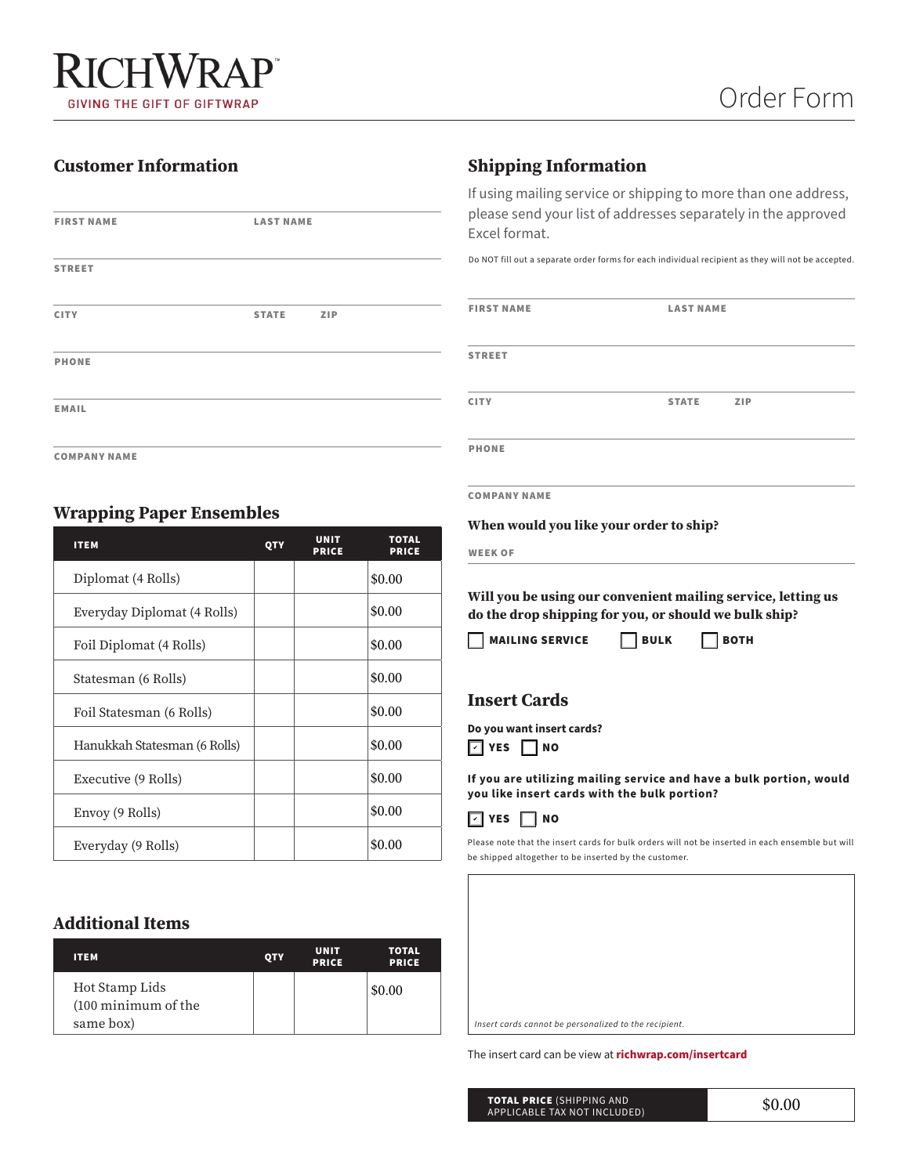# **Customer Information**

| <b>FIRST NAME</b> | <b>LAST NAME</b> |            |
|-------------------|------------------|------------|
| <b>STREET</b>     |                  |            |
| <b>CITY</b>       | <b>STATE</b>     | <b>ZIP</b> |
| <b>PHONE</b>      |                  |            |
| <b>EMAIL</b>      |                  |            |
|                   |                  |            |

COMPANY NAME

# **Wrapping Paper Ensembles**

| <b>ITEM</b>                  | QTY | <b>UNIT</b><br><b>PRICE</b> | <b>TOTAL</b><br><b>PRICE</b> |
|------------------------------|-----|-----------------------------|------------------------------|
| Diplomat (4 Rolls)           |     |                             | \$0.00                       |
| Everyday Diplomat (4 Rolls)  |     |                             | \$0.00                       |
| Foil Diplomat (4 Rolls)      |     |                             | \$0.00                       |
| Statesman (6 Rolls)          |     |                             | \$0.00                       |
| Foil Statesman (6 Rolls)     |     |                             | \$0.00                       |
| Hanukkah Statesman (6 Rolls) |     |                             | \$0.00                       |
| Executive (9 Rolls)          |     |                             | \$0.00                       |
| Envoy (9 Rolls)              |     |                             | \$0.00                       |
| Everyday (9 Rolls)           |     |                             | \$0.00                       |
| <b>Additional Items</b>      |     |                             |                              |
| <b>ITEM</b>                  | QTY | <b>UNIT</b><br><b>PRICE</b> | <b>TOTAL</b><br><b>PRICE</b> |
| Hot Stamp Lids               |     |                             | \$0.00                       |

### **Additional Items**

| <b>ITEM</b>                                        | <b>QTY</b> | <b>UNIT</b><br><b>PRICE</b> | <b>TOTAL</b><br><b>PRICE</b> |
|----------------------------------------------------|------------|-----------------------------|------------------------------|
| Hot Stamp Lids<br>(100 minimum of the<br>same box) |            |                             | \$0.00                       |

## **Shipping Information**

If using mailing service or shipping to more than one address, please send your list of addresses separately in the approved Excel format.

Do NOT fill out a separate order forms for each individual recipient as they will not be accepted.

| <b>FIRST NAME</b>   | <b>LAST NAME</b>    |  |
|---------------------|---------------------|--|
| <b>STREET</b>       |                     |  |
| <b>CITY</b>         | <b>STATE</b><br>ZIP |  |
| <b>PHONE</b>        |                     |  |
| <b>COMPANY NAME</b> |                     |  |

**When would you like your order to ship?**

WEEK OF

**Will you be using our convenient mailing service, letting us do the drop shipping for you, or should we bulk ship?**

 $\Box$  MAILING SERVICE  $\Box$  BULK  $\Box$  BOTH

## **Insert Cards**

**Do you want insert cards?**  $\boxed{\phantom{0}}$  YES  $\boxed{\phantom{0}}$  NO

**If you are utilizing mailing service and have a bulk portion, would you like insert cards with the bulk portion?**



Please note that the insert cards for bulk orders will not be inserted in each ensemble but will be shipped altogether to be inserted by the customer.

*Insert cards cannot be personalized to the recipient.*

The insert card can be view at **[richwrap.com/insertcard](https://richwrap.com/insertcard)**